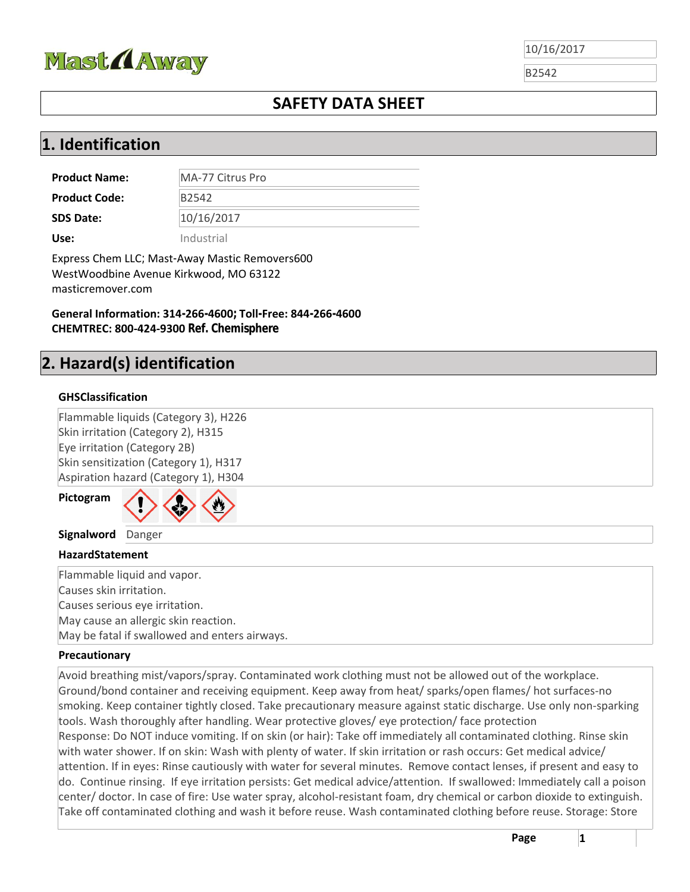

B2542

## **SAFETY DATA SHEET**

## **1. Identification**

**Product Name:** MA-77 Citrus Pro **Product Code:** B2542 **SDS Date:**  10/16/2017 **Use:** Industrial

Express Chem LLC; Mast-Away Mastic Removers600 WestWoodbine Avenue Kirkwood, MO 63122 masticremover.com

**General Information: 314-266-4600; Toll-Free: 844-266-4600 CHEMTREC: 800‐424‐9300 Ref. Chemisphere**

## **2. Hazard(s) identification**

#### **GHSClassification**

Flammable liquids (Category 3), H226 Skin irritation (Category 2), H315 Eye irritation (Category 2B) Skin sensitization (Category 1), H317 Aspiration hazard (Category 1), H304

**Pictogram**



**Signalword** Danger

#### **HazardStatement**

Flammable liquid and vapor. Causes skin irritation. Causes serious eye irritation. May cause an allergic skin reaction. May be fatal if swallowed and enters airways.

#### **Precautionary**

Avoid breathing mist/vapors/spray. Contaminated work clothing must not be allowed out of the workplace. Ground/bond container and receiving equipment. Keep away from heat/ sparks/open flames/ hot surfaces‐no smoking. Keep container tightly closed. Take precautionary measure against static discharge. Use only non‐sparking tools. Wash thoroughly after handling. Wear protective gloves/ eye protection/ face protection Response: Do NOT induce vomiting. If on skin (or hair): Take off immediately all contaminated clothing. Rinse skin with water shower. If on skin: Wash with plenty of water. If skin irritation or rash occurs: Get medical advice/ attention. If in eyes: Rinse cautiously with water for several minutes. Remove contact lenses, if present and easy to do. Continue rinsing. If eye irritation persists: Get medical advice/attention. If swallowed: Immediately call a poison center/ doctor. In case of fire: Use water spray, alcohol‐resistant foam, dry chemical or carbon dioxide to extinguish. Take off contaminated clothing and wash it before reuse. Wash contaminated clothing before reuse. Storage: Store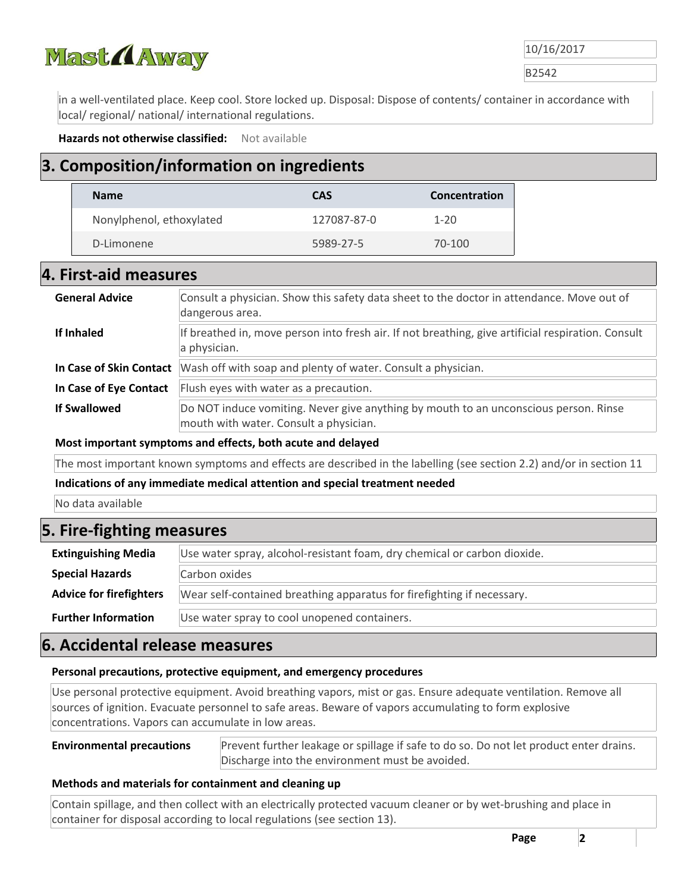

B2542

in a well‐ventilated place. Keep cool. Store locked up. Disposal: Dispose of contents/ container in accordance with local/ regional/ national/ international regulations.

**Hazards not otherwise classified:**  Not available

## **3. Composition/information on ingredients**

| <b>Name</b>              | <b>CAS</b>  | Concentration |
|--------------------------|-------------|---------------|
| Nonylphenol, ethoxylated | 127087-87-0 | $1 - 20$      |
| D-Limonene               | 5989-27-5   | 70-100        |

#### **4. First‐aid measures**

| <b>General Advice</b>   | Consult a physician. Show this safety data sheet to the doctor in attendance. Move out of<br>dangerous area.                   |  |
|-------------------------|--------------------------------------------------------------------------------------------------------------------------------|--|
| If Inhaled              | If breathed in, move person into fresh air. If not breathing, give artificial respiration. Consult<br>a physician.             |  |
| In Case of Skin Contact | Wash off with soap and plenty of water. Consult a physician.                                                                   |  |
| In Case of Eye Contact  | Flush eyes with water as a precaution.                                                                                         |  |
| <b>If Swallowed</b>     | Do NOT induce vomiting. Never give anything by mouth to an unconscious person. Rinse<br>mouth with water. Consult a physician. |  |

#### **Most important symptoms and effects, both acute and delayed**

The most important known symptoms and effects are described in the labelling (see section 2.2) and/or in section 11

#### **Indications of any immediate medical attention and special treatment needed**

No data available

### **5. Fire‐fighting measures**

| <b>Extinguishing Media</b>     | Use water spray, alcohol-resistant foam, dry chemical or carbon dioxide. |  |
|--------------------------------|--------------------------------------------------------------------------|--|
| <b>Special Hazards</b>         | Carbon oxides                                                            |  |
| <b>Advice for firefighters</b> | Wear self-contained breathing apparatus for firefighting if necessary.   |  |
| <b>Further Information</b>     | Use water spray to cool unopened containers.                             |  |

#### **6. Accidental release measures**

#### **Personal precautions, protective equipment, and emergency procedures**

Use personal protective equipment. Avoid breathing vapors, mist or gas. Ensure adequate ventilation. Remove all sources of ignition. Evacuate personnel to safe areas. Beware of vapors accumulating to form explosive concentrations. Vapors can accumulate in low areas.

#### **Environmental precautions** Prevent further leakage or spillage if safe to do so. Do not let product enter drains. Discharge into the environment must be avoided.

#### **Methods and materials for containment and cleaning up**

Contain spillage, and then collect with an electrically protected vacuum cleaner or by wet‐brushing and place in container for disposal according to local regulations (see section 13).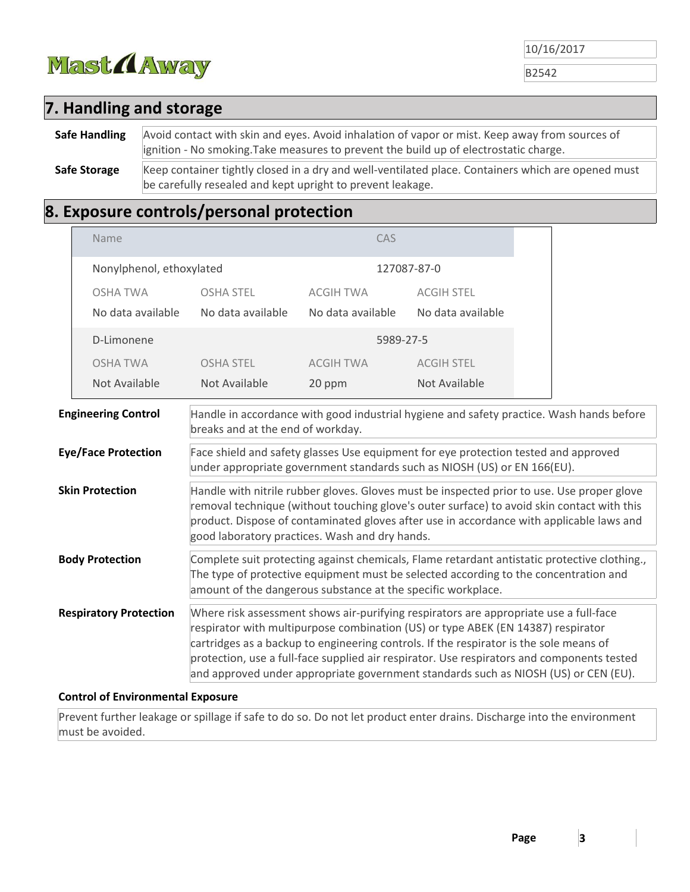

B2542

## **7. Handling and storage**

**Safe Handling** Avoid contact with skin and eyes. Avoid inhalation of vapor or mist. Keep away from sources of ignition ‐ No smoking.Take measures to prevent the build up of electrostatic charge.

Safe Storage Keep container tightly closed in a dry and well-ventilated place. Containers which are opened must be carefully resealed and kept upright to prevent leakage.

## **8. Exposure controls/personal protection**

| Name                          |                                                | CAS               |                                                                                                                                                                                                                                                                     |                                                                                                                                                                                                                                                                                      |
|-------------------------------|------------------------------------------------|-------------------|---------------------------------------------------------------------------------------------------------------------------------------------------------------------------------------------------------------------------------------------------------------------|--------------------------------------------------------------------------------------------------------------------------------------------------------------------------------------------------------------------------------------------------------------------------------------|
| Nonylphenol, ethoxylated      |                                                |                   | 127087-87-0                                                                                                                                                                                                                                                         |                                                                                                                                                                                                                                                                                      |
| <b>OSHA TWA</b>               | <b>OSHA STEL</b>                               | <b>ACGIH TWA</b>  | <b>ACGIH STEL</b>                                                                                                                                                                                                                                                   |                                                                                                                                                                                                                                                                                      |
| No data available             | No data available                              | No data available | No data available                                                                                                                                                                                                                                                   |                                                                                                                                                                                                                                                                                      |
| D-Limonene                    |                                                |                   | 5989-27-5                                                                                                                                                                                                                                                           |                                                                                                                                                                                                                                                                                      |
| <b>OSHA TWA</b>               | <b>OSHA STEL</b>                               | <b>ACGIH TWA</b>  | <b>ACGIH STEL</b>                                                                                                                                                                                                                                                   |                                                                                                                                                                                                                                                                                      |
| Not Available                 | Not Available                                  | 20 ppm            | Not Available                                                                                                                                                                                                                                                       |                                                                                                                                                                                                                                                                                      |
| <b>Engineering Control</b>    | breaks and at the end of workday.              |                   |                                                                                                                                                                                                                                                                     | Handle in accordance with good industrial hygiene and safety practice. Wash hands before                                                                                                                                                                                             |
| <b>Eye/Face Protection</b>    |                                                |                   | Face shield and safety glasses Use equipment for eye protection tested and approved<br>under appropriate government standards such as NIOSH (US) or EN 166(EU).                                                                                                     |                                                                                                                                                                                                                                                                                      |
| <b>Skin Protection</b>        | good laboratory practices. Wash and dry hands. |                   |                                                                                                                                                                                                                                                                     | Handle with nitrile rubber gloves. Gloves must be inspected prior to use. Use proper glove<br>removal technique (without touching glove's outer surface) to avoid skin contact with this<br>product. Dispose of contaminated gloves after use in accordance with applicable laws and |
| <b>Body Protection</b>        |                                                |                   | The type of protective equipment must be selected according to the concentration and<br>amount of the dangerous substance at the specific workplace.                                                                                                                | Complete suit protecting against chemicals, Flame retardant antistatic protective clothing.,                                                                                                                                                                                         |
| <b>Respiratory Protection</b> |                                                |                   | Where risk assessment shows air-purifying respirators are appropriate use a full-face<br>respirator with multipurpose combination (US) or type ABEK (EN 14387) respirator<br>cartridges as a backup to engineering controls. If the respirator is the sole means of | protection, use a full-face supplied air respirator. Use respirators and components tested<br>and approved under appropriate government standards such as NIOSH (US) or CEN (EU).                                                                                                    |
|                               |                                                |                   |                                                                                                                                                                                                                                                                     |                                                                                                                                                                                                                                                                                      |

#### **Control of Environmental Exposure**

Prevent further leakage or spillage if safe to do so. Do not let product enter drains. Discharge into the environment must be avoided.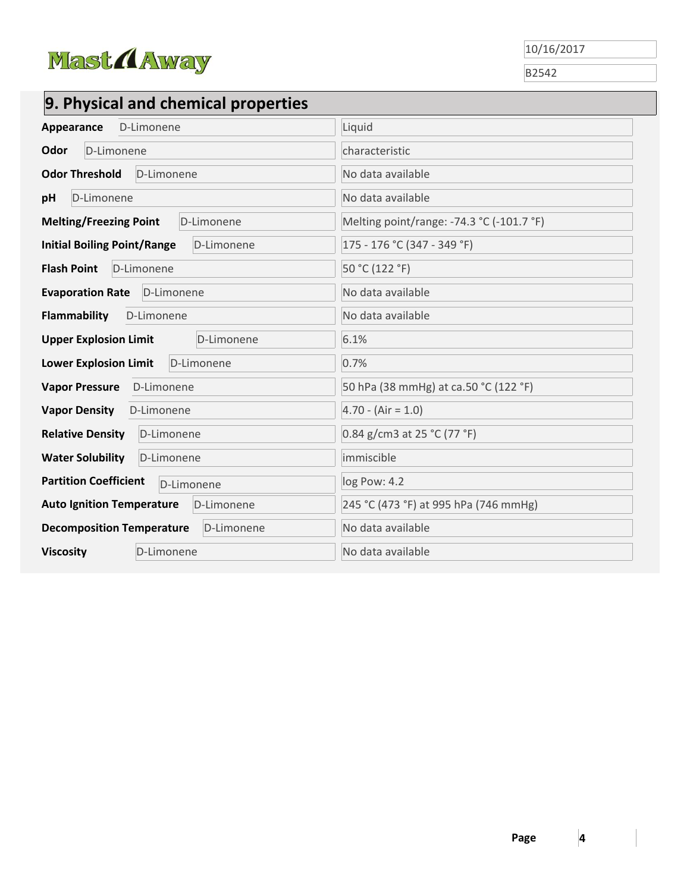

B2542

# **9. Physical and chemical properties**

| Appearance D-Limonene                            | Liquid                                    |
|--------------------------------------------------|-------------------------------------------|
| Odor<br>D-Limonene                               | characteristic                            |
| <b>Odor Threshold</b><br>D-Limonene              | No data available                         |
| D-Limonene<br>рH                                 | No data available                         |
| <b>Melting/Freezing Point</b><br>D-Limonene      | Melting point/range: -74.3 °C (-101.7 °F) |
| <b>Initial Boiling Point/Range</b><br>D-Limonene | 175 - 176 °C (347 - 349 °F)               |
| <b>Flash Point</b><br>D-Limonene                 | 50 °C (122 °F)                            |
| <b>Evaporation Rate</b> D-Limonene               | No data available                         |
| <b>Flammability</b><br>D-Limonene                | No data available                         |
| <b>Upper Explosion Limit</b><br>D-Limonene       | 6.1%                                      |
| <b>Lower Explosion Limit</b><br>D-Limonene       | 0.7%                                      |
| Vapor Pressure D-Limonene                        | 50 hPa (38 mmHg) at ca.50 °C (122 °F)     |
| <b>Vapor Density</b><br>D-Limonene               | $4.70 - (Air = 1.0)$                      |
| <b>Relative Density</b><br>D-Limonene            | 0.84 g/cm3 at 25 °C (77 °F)               |
| <b>Water Solubility</b><br>D-Limonene            | immiscible                                |
| <b>Partition Coefficient</b><br>D-Limonene       | log Pow: 4.2                              |
| <b>Auto Ignition Temperature</b><br>D-Limonene   | 245 °C (473 °F) at 995 hPa (746 mmHg)     |
| <b>Decomposition Temperature</b><br>D-Limonene   | No data available                         |
| <b>Viscosity</b><br>D-Limonene                   | No data available                         |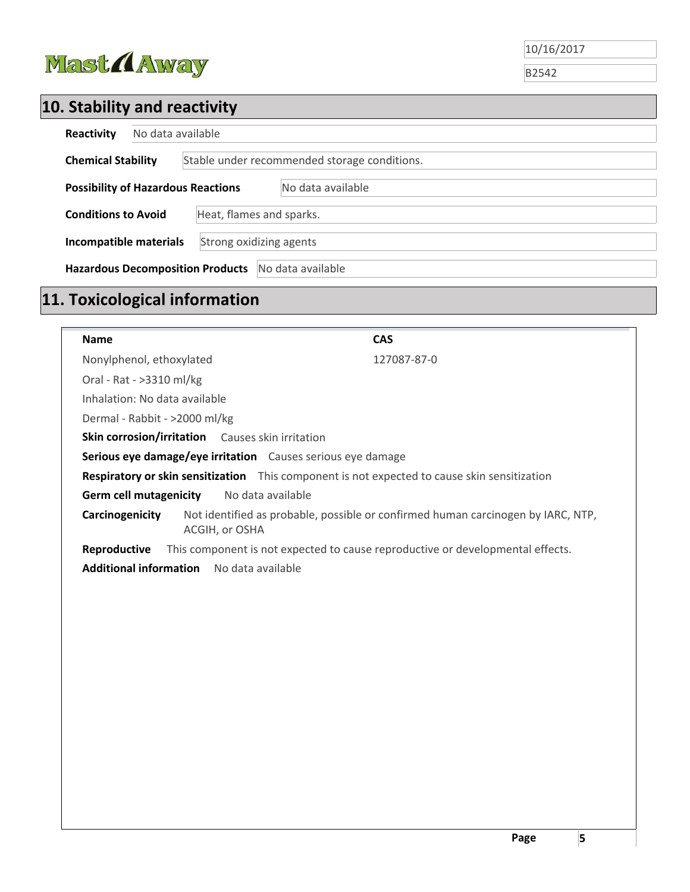

B2542

# **10. Stability and reactivity**

| Reactivity                                                   | No data available                                 |  |  |
|--------------------------------------------------------------|---------------------------------------------------|--|--|
| <b>Chemical Stability</b>                                    | Stable under recommended storage conditions.      |  |  |
| <b>Possibility of Hazardous Reactions</b>                    | No data available                                 |  |  |
| <b>Conditions to Avoid</b>                                   | Heat, flames and sparks.                          |  |  |
|                                                              | Strong oxidizing agents<br>Incompatible materials |  |  |
| <b>Hazardous Decomposition Products</b><br>No data available |                                                   |  |  |

# **11. Toxicological information**

| <b>Name</b>                   |                                                                                              | <b>CAS</b>                                                                       |
|-------------------------------|----------------------------------------------------------------------------------------------|----------------------------------------------------------------------------------|
| Nonylphenol, ethoxylated      |                                                                                              | 127087-87-0                                                                      |
| Oral - Rat - >3310 ml/kg      |                                                                                              |                                                                                  |
| Inhalation: No data available |                                                                                              |                                                                                  |
| Dermal - Rabbit - >2000 ml/kg |                                                                                              |                                                                                  |
|                               | Skin corrosion/irritation Causes skin irritation                                             |                                                                                  |
|                               | Serious eye damage/eye irritation Causes serious eye damage                                  |                                                                                  |
|                               | Respiratory or skin sensitization This component is not expected to cause skin sensitization |                                                                                  |
| <b>Germ cell mutagenicity</b> | No data available                                                                            |                                                                                  |
| Carcinogenicity               | ACGIH, or OSHA                                                                               | Not identified as probable, possible or confirmed human carcinogen by IARC, NTP, |
| Reproductive                  |                                                                                              | This component is not expected to cause reproductive or developmental effects.   |
| <b>Additional information</b> | No data available                                                                            |                                                                                  |
|                               |                                                                                              |                                                                                  |
|                               |                                                                                              |                                                                                  |
|                               |                                                                                              |                                                                                  |
|                               |                                                                                              |                                                                                  |
|                               |                                                                                              |                                                                                  |
|                               |                                                                                              |                                                                                  |
|                               |                                                                                              |                                                                                  |
|                               |                                                                                              |                                                                                  |
|                               |                                                                                              |                                                                                  |
|                               |                                                                                              |                                                                                  |
|                               |                                                                                              |                                                                                  |
|                               |                                                                                              |                                                                                  |
|                               |                                                                                              |                                                                                  |
|                               |                                                                                              |                                                                                  |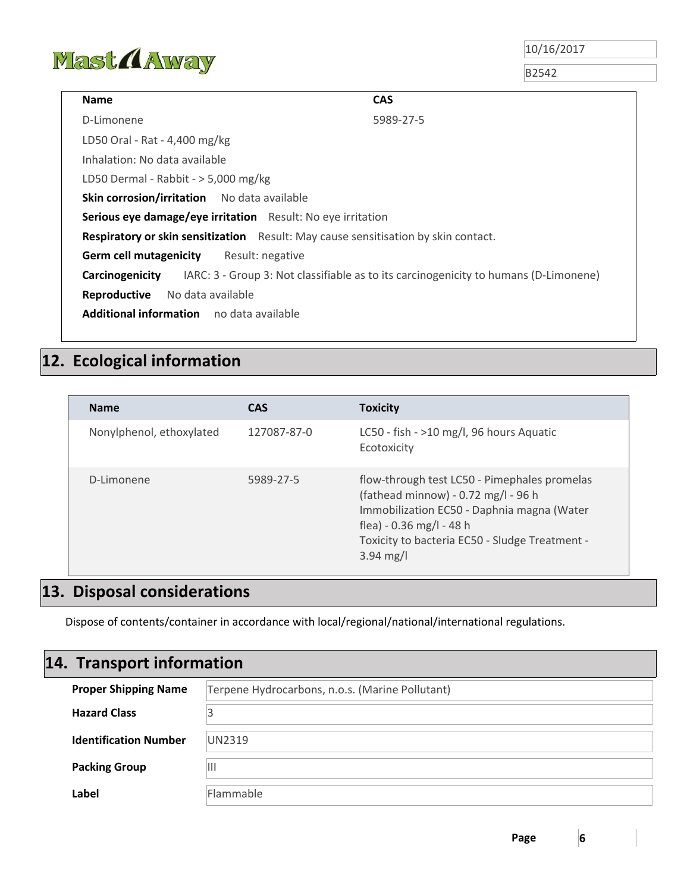

B2542

| <b>CAS</b><br><b>Name</b>                                                          |                                                                                      |
|------------------------------------------------------------------------------------|--------------------------------------------------------------------------------------|
| D-Limonene                                                                         | 5989-27-5                                                                            |
| LD50 Oral - Rat - 4,400 mg/kg                                                      |                                                                                      |
| Inhalation: No data available                                                      |                                                                                      |
| LD50 Dermal - Rabbit - $>$ 5,000 mg/kg                                             |                                                                                      |
| Skin corrosion/irritation No data available                                        |                                                                                      |
| Serious eye damage/eye irritation Result: No eye irritation                        |                                                                                      |
| Respiratory or skin sensitization Result: May cause sensitisation by skin contact. |                                                                                      |
| <b>Germ cell mutagenicity</b> Result: negative                                     |                                                                                      |
| Carcinogenicity                                                                    | IARC: 3 - Group 3: Not classifiable as to its carcinogenicity to humans (D-Limonene) |
| Reproductive<br>No data available                                                  |                                                                                      |
| <b>Additional information</b> no data available                                    |                                                                                      |

## **12. Ecological information**

| <b>Name</b>              | <b>CAS</b>  | <b>Toxicity</b>                                                                                                                                                                                                                        |
|--------------------------|-------------|----------------------------------------------------------------------------------------------------------------------------------------------------------------------------------------------------------------------------------------|
| Nonylphenol, ethoxylated | 127087-87-0 | LC50 - fish - $>10$ mg/l, 96 hours Aquatic<br>Ecotoxicity                                                                                                                                                                              |
| D-Limonene               | 5989-27-5   | flow-through test LC50 - Pimephales promelas<br>(fathead minnow) - 0.72 mg/l - 96 h<br>Immobilization EC50 - Daphnia magna (Water<br>flea) - 0.36 mg/l - 48 h<br>Toxicity to bacteria EC50 - Sludge Treatment -<br>$3.94 \text{ mg/l}$ |

## **13. Disposal considerations**

Dispose of contents/container in accordance with local/regional/national/international regulations.

## **14. Transport information**

| <b>Proper Shipping Name</b>  | Terpene Hydrocarbons, n.o.s. (Marine Pollutant) |  |
|------------------------------|-------------------------------------------------|--|
| <b>Hazard Class</b>          |                                                 |  |
| <b>Identification Number</b> | UN2319                                          |  |
| <b>Packing Group</b>         | Ш                                               |  |
| Label                        | Flammable                                       |  |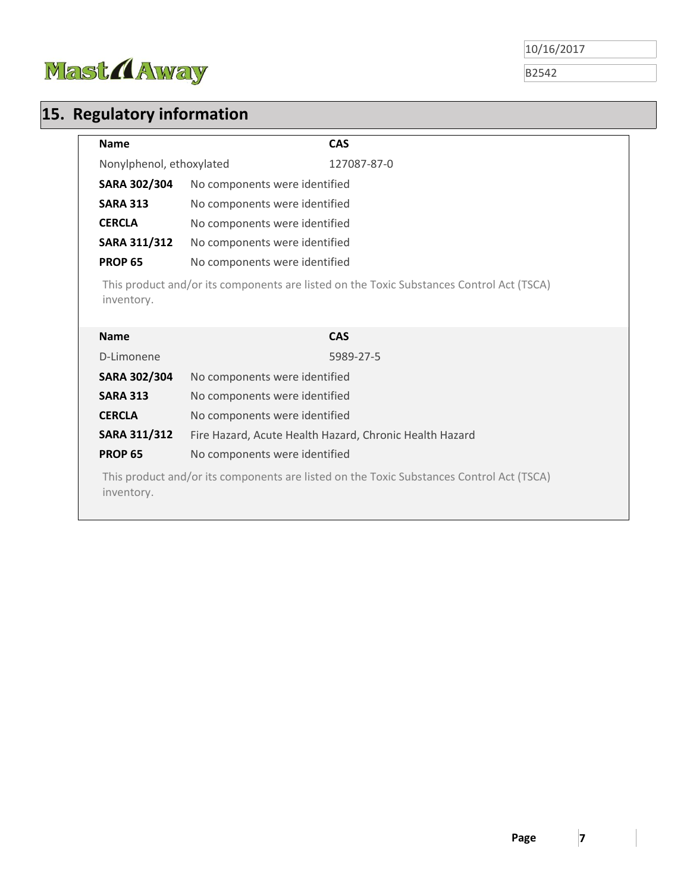

B2542

# **15. Regulatory information**

| <b>Name</b>                                                                                            | <b>CAS</b>                                                                               |  |
|--------------------------------------------------------------------------------------------------------|------------------------------------------------------------------------------------------|--|
| Nonylphenol, ethoxylated                                                                               | 127087-87-0                                                                              |  |
| SARA 302/304                                                                                           | No components were identified                                                            |  |
| <b>SARA 313</b>                                                                                        | No components were identified                                                            |  |
| <b>CERCLA</b>                                                                                          | No components were identified                                                            |  |
| SARA 311/312                                                                                           | No components were identified                                                            |  |
| <b>PROP 65</b>                                                                                         | No components were identified                                                            |  |
| inventory.                                                                                             | This product and/or its components are listed on the Toxic Substances Control Act (TSCA) |  |
| <b>Name</b>                                                                                            | <b>CAS</b>                                                                               |  |
| D-Limonene                                                                                             | 5989-27-5                                                                                |  |
| <b>SARA 302/304</b>                                                                                    | No components were identified                                                            |  |
| <b>SARA 313</b>                                                                                        | No components were identified                                                            |  |
| <b>CERCLA</b>                                                                                          | No components were identified                                                            |  |
| SARA 311/312                                                                                           | Fire Hazard, Acute Health Hazard, Chronic Health Hazard                                  |  |
| <b>PROP 65</b>                                                                                         | No components were identified                                                            |  |
| This product and/or its components are listed on the Toxic Substances Control Act (TSCA)<br>inventory. |                                                                                          |  |